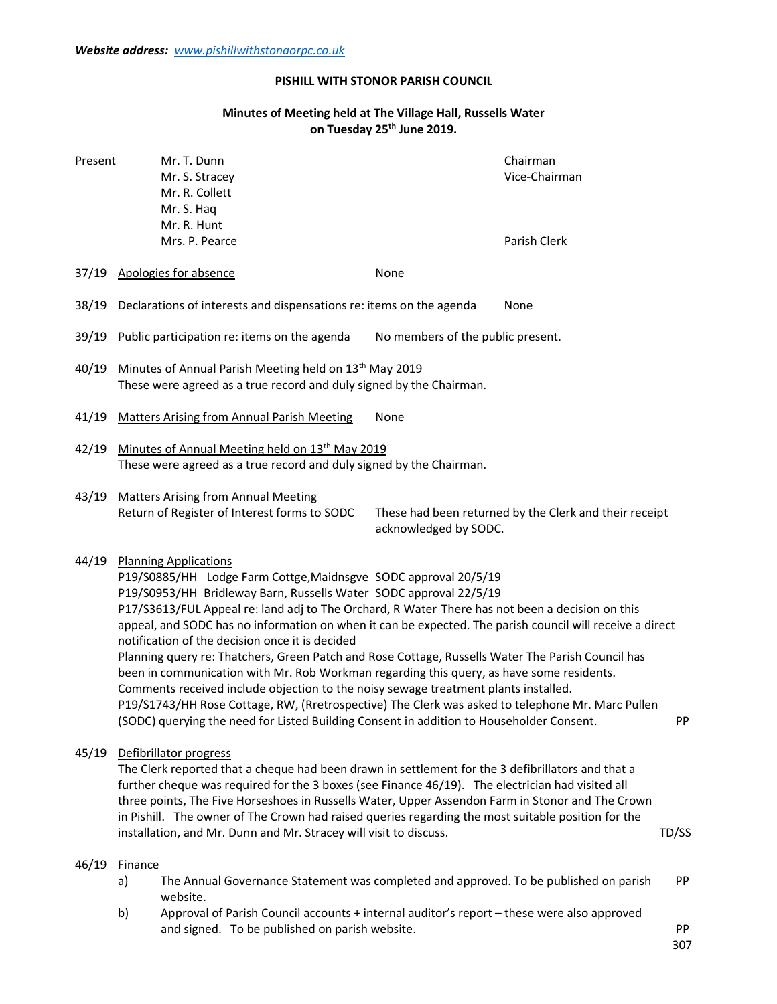# PISHILL WITH STONOR PARISH COUNCIL

## Minutes of Meeting held at The Village Hall, Russells Water on Tuesday 25<sup>th</sup> June 2019.

| Present | Mr. T. Dunn<br>Mr. S. Stracey<br>Mr. R. Collett<br>Mr. S. Haq<br>Mr. R. Hunt<br>Mrs. P. Pearce                                                                                                                                                                                                                                                                                                                                                                                                                                                                                                                                                                                                                                                                                                                                                                                                                                       |                                   | Chairman<br>Vice-Chairman<br>Parish Clerk              |  |  |
|---------|--------------------------------------------------------------------------------------------------------------------------------------------------------------------------------------------------------------------------------------------------------------------------------------------------------------------------------------------------------------------------------------------------------------------------------------------------------------------------------------------------------------------------------------------------------------------------------------------------------------------------------------------------------------------------------------------------------------------------------------------------------------------------------------------------------------------------------------------------------------------------------------------------------------------------------------|-----------------------------------|--------------------------------------------------------|--|--|
| 37/19   | Apologies for absence                                                                                                                                                                                                                                                                                                                                                                                                                                                                                                                                                                                                                                                                                                                                                                                                                                                                                                                | None                              |                                                        |  |  |
| 38/19   | Declarations of interests and dispensations re: items on the agenda                                                                                                                                                                                                                                                                                                                                                                                                                                                                                                                                                                                                                                                                                                                                                                                                                                                                  |                                   | None                                                   |  |  |
| 39/19   | Public participation re: items on the agenda                                                                                                                                                                                                                                                                                                                                                                                                                                                                                                                                                                                                                                                                                                                                                                                                                                                                                         | No members of the public present. |                                                        |  |  |
| 40/19   | Minutes of Annual Parish Meeting held on 13 <sup>th</sup> May 2019<br>These were agreed as a true record and duly signed by the Chairman.                                                                                                                                                                                                                                                                                                                                                                                                                                                                                                                                                                                                                                                                                                                                                                                            |                                   |                                                        |  |  |
| 41/19   | <b>Matters Arising from Annual Parish Meeting</b>                                                                                                                                                                                                                                                                                                                                                                                                                                                                                                                                                                                                                                                                                                                                                                                                                                                                                    | None                              |                                                        |  |  |
| 42/19   | Minutes of Annual Meeting held on 13 <sup>th</sup> May 2019<br>These were agreed as a true record and duly signed by the Chairman.                                                                                                                                                                                                                                                                                                                                                                                                                                                                                                                                                                                                                                                                                                                                                                                                   |                                   |                                                        |  |  |
| 43/19   | <b>Matters Arising from Annual Meeting</b><br>Return of Register of Interest forms to SODC                                                                                                                                                                                                                                                                                                                                                                                                                                                                                                                                                                                                                                                                                                                                                                                                                                           | acknowledged by SODC.             | These had been returned by the Clerk and their receipt |  |  |
| 44/19   | <b>Planning Applications</b><br>P19/S0885/HH Lodge Farm Cottge, Maidnsgve SODC approval 20/5/19<br>P19/S0953/HH Bridleway Barn, Russells Water SODC approval 22/5/19<br>P17/S3613/FUL Appeal re: land adj to The Orchard, R Water There has not been a decision on this<br>appeal, and SODC has no information on when it can be expected. The parish council will receive a direct<br>notification of the decision once it is decided<br>Planning query re: Thatchers, Green Patch and Rose Cottage, Russells Water The Parish Council has<br>been in communication with Mr. Rob Workman regarding this query, as have some residents.<br>Comments received include objection to the noisy sewage treatment plants installed.<br>P19/S1743/HH Rose Cottage, RW, (Rretrospective) The Clerk was asked to telephone Mr. Marc Pullen<br>(SODC) querying the need for Listed Building Consent in addition to Householder Consent.<br>PP |                                   |                                                        |  |  |
| 45/19   | Defibrillator progress<br>The Clerk reported that a cheque had been drawn in settlement for the 3 defibrillators and that a<br>further cheque was required for the 3 boxes (see Finance 46/19). The electrician had visited all<br>three points, The Five Horseshoes in Russells Water, Upper Assendon Farm in Stonor and The Crown<br>in Pishill. The owner of The Crown had raised queries regarding the most suitable position for the<br>installation, and Mr. Dunn and Mr. Stracey will visit to discuss.<br>TD/SS                                                                                                                                                                                                                                                                                                                                                                                                              |                                   |                                                        |  |  |
| 46/19   | <b>Finance</b><br>The Annual Governance Statement was completed and approved. To be published on parish<br>a)<br>website.<br>b)<br>Approval of Parish Council accounts + internal auditor's report - these were also approved<br>and signed. To be published on parish website.                                                                                                                                                                                                                                                                                                                                                                                                                                                                                                                                                                                                                                                      |                                   | <b>PP</b><br>PP<br>307                                 |  |  |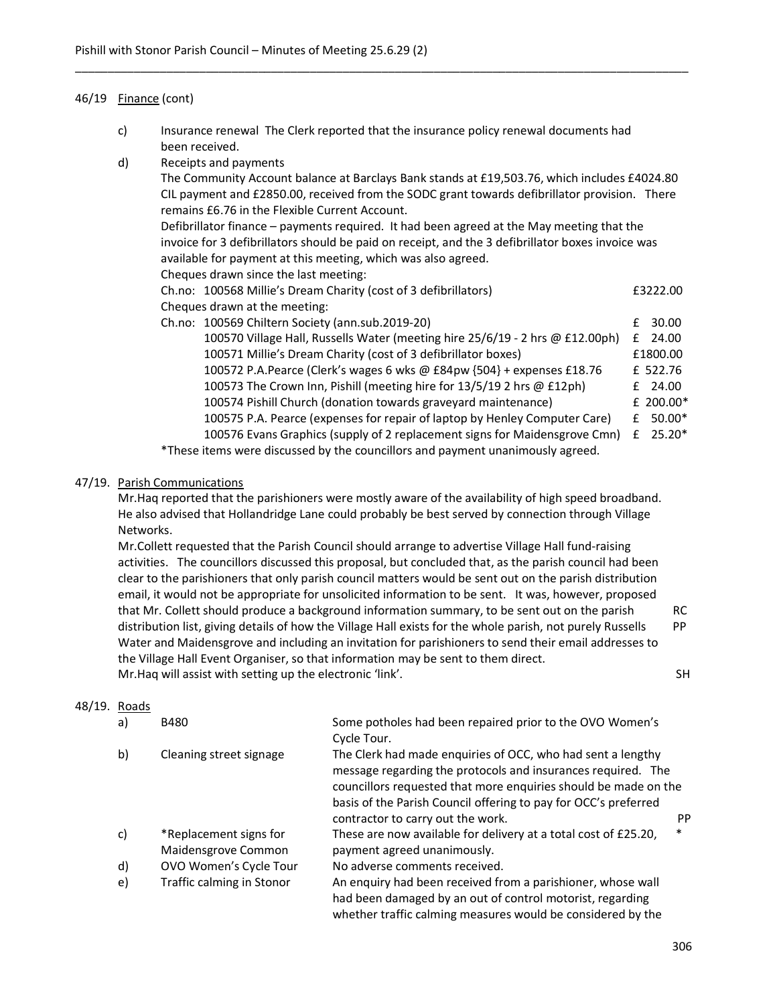### 46/19 Finance (cont)

 c) Insurance renewal The Clerk reported that the insurance policy renewal documents had been received.

\_\_\_\_\_\_\_\_\_\_\_\_\_\_\_\_\_\_\_\_\_\_\_\_\_\_\_\_\_\_\_\_\_\_\_\_\_\_\_\_\_\_\_\_\_\_\_\_\_\_\_\_\_\_\_\_\_\_\_\_\_\_\_\_\_\_\_\_\_\_\_\_\_\_\_\_\_\_\_\_\_\_\_\_\_\_\_\_\_\_\_\_\_\_

d) Receipts and payments

 The Community Account balance at Barclays Bank stands at £19,503.76, which includes £4024.80 CIL payment and £2850.00, received from the SODC grant towards defibrillator provision. There remains £6.76 in the Flexible Current Account.

 Defibrillator finance – payments required. It had been agreed at the May meeting that the invoice for 3 defibrillators should be paid on receipt, and the 3 defibrillator boxes invoice was available for payment at this meeting, which was also agreed.

Cheques drawn since the last meeting:

| Ch.no: 100568 Millie's Dream Charity (cost of 3 defibrillators)               |  | £3222.00  |  |
|-------------------------------------------------------------------------------|--|-----------|--|
| Cheques drawn at the meeting:                                                 |  |           |  |
| Ch.no: 100569 Chiltern Society (ann.sub.2019-20)                              |  | £ 30.00   |  |
| 100570 Village Hall, Russells Water (meeting hire 25/6/19 - 2 hrs @ £12.00ph) |  | $£$ 24.00 |  |
| 100571 Millie's Dream Charity (cost of 3 defibrillator boxes)                 |  | £1800.00  |  |
| 100572 P.A.Pearce (Clerk's wages 6 wks @ £84pw {504} + expenses £18.76        |  | £ 522.76  |  |
| 100573 The Crown Inn, Pishill (meeting hire for 13/5/19 2 hrs @ £12ph)        |  | $£$ 24.00 |  |
| 100574 Pishill Church (donation towards graveyard maintenance)                |  | £ 200.00* |  |
|                                                                               |  |           |  |

 100575 P.A. Pearce (expenses for repair of laptop by Henley Computer Care) £ 50.00\* 100576 Evans Graphics (supply of 2 replacement signs for Maidensgrove Cmn) £ 25.20\*

\*These items were discussed by the councillors and payment unanimously agreed.

### 47/19. Parish Communications

 Mr.Haq reported that the parishioners were mostly aware of the availability of high speed broadband. He also advised that Hollandridge Lane could probably be best served by connection through Village Networks.

 Mr.Collett requested that the Parish Council should arrange to advertise Village Hall fund-raising activities. The councillors discussed this proposal, but concluded that, as the parish council had been clear to the parishioners that only parish council matters would be sent out on the parish distribution email, it would not be appropriate for unsolicited information to be sent. It was, however, proposed that Mr. Collett should produce a background information summary, to be sent out on the parish RC distribution list, giving details of how the Village Hall exists for the whole parish, not purely Russells PP Water and Maidensgrove and including an invitation for parishioners to send their email addresses to the Village Hall Event Organiser, so that information may be sent to them direct. Mr.Haq will assist with setting up the electronic 'link'. SH

#### 48/19. Roads

| a) | <b>B480</b>                                   | Some potholes had been repaired prior to the OVO Women's                                                                                                                                       |           |  |
|----|-----------------------------------------------|------------------------------------------------------------------------------------------------------------------------------------------------------------------------------------------------|-----------|--|
|    |                                               | Cycle Tour.                                                                                                                                                                                    |           |  |
| b) | Cleaning street signage                       | The Clerk had made enquiries of OCC, who had sent a lengthy<br>message regarding the protocols and insurances required. The<br>councillors requested that more enquiries should be made on the |           |  |
|    |                                               | basis of the Parish Council offering to pay for OCC's preferred<br>contractor to carry out the work.                                                                                           | <b>PP</b> |  |
| c) | *Replacement signs for<br>Maidensgrove Common | These are now available for delivery at a total cost of £25.20,<br>payment agreed unanimously.                                                                                                 | $\ast$    |  |
| d) | OVO Women's Cycle Tour                        | No adverse comments received.                                                                                                                                                                  |           |  |
| e) | Traffic calming in Stonor                     | An enquiry had been received from a parishioner, whose wall<br>had been damaged by an out of control motorist, regarding<br>whether traffic calming measures would be considered by the        |           |  |